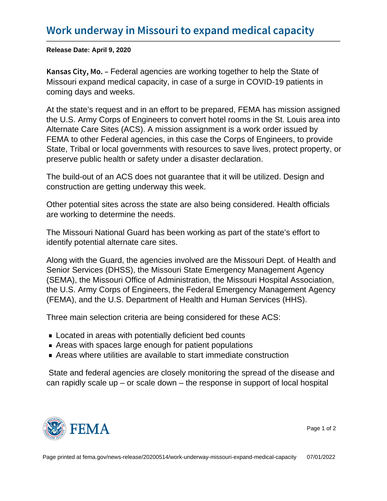Release Date: April 9, 2020

K a n s a s C i t  $\sqrt{F}$  ed and a gencies are working together to help the State of Missouri expand medical capacity, in case of a surge in COVID-19 patients in coming days and weeks.

At the state's request and in an effort to be prepared, FEMA has mission assigned the U.S. Army Corps of Engineers to convert hotel rooms in the St. Louis area into Alternate Care Sites (ACS). A mission assignment is a work order issued by FEMA to other Federal agencies, in this case the Corps of Engineers, to provide State, Tribal or local governments with resources to save lives, protect property, or preserve public health or safety under a disaster declaration.

The build-out of an ACS does not guarantee that it will be utilized. Design and construction are getting underway this week.

Other potential sites across the state are also being considered. Health officials are working to determine the needs.

The Missouri National Guard has been working as part of the state's effort to identify potential alternate care sites.

Along with the Guard, the agencies involved are the Missouri Dept. of Health and Senior Services (DHSS), the Missouri State Emergency Management Agency (SEMA), the Missouri Office of Administration, the Missouri Hospital Association, the U.S. Army Corps of Engineers, the Federal Emergency Management Agency (FEMA), and the U.S. Department of Health and Human Services (HHS).

Three main selection criteria are being considered for these ACS:

- Located in areas with potentially deficient bed counts
- Areas with spaces large enough for patient populations
- Areas where utilities are available to start immediate construction

 State and federal agencies are closely monitoring the spread of the disease and can rapidly scale up  $-$  or scale down  $-$  the response in support of local hospital



Page 1 of 2